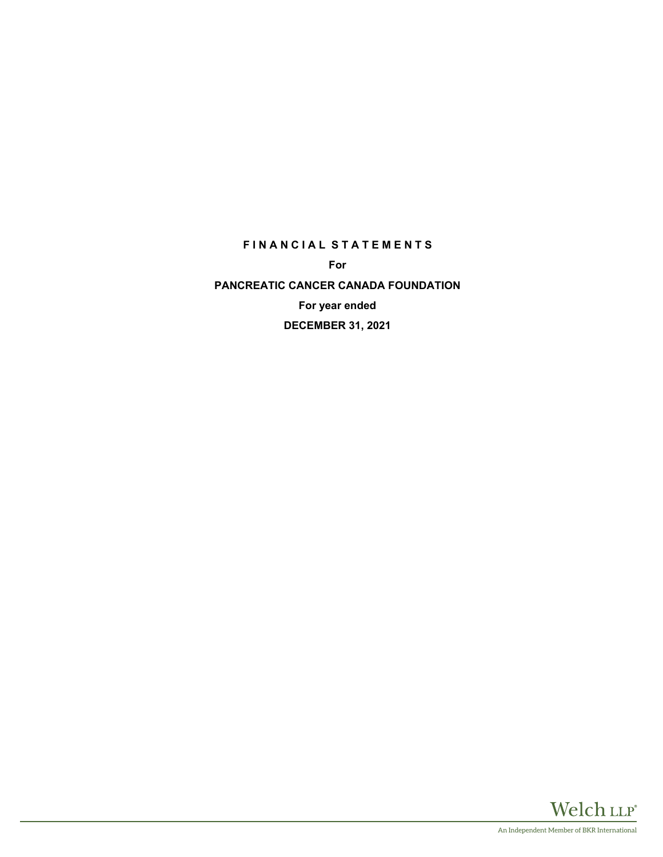#### **F I N A N C I A L S T A T E M E N T S**

**For**

**PANCREATIC CANCER CANADA FOUNDATION For year ended DECEMBER 31, 2021**

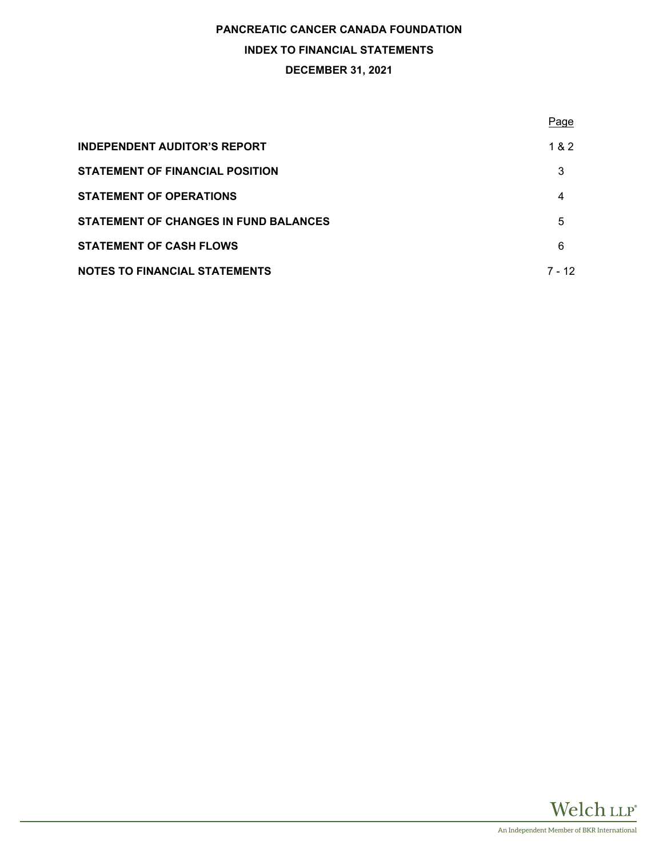# **PANCREATIC CANCER CANADA FOUNDATION INDEX TO FINANCIAL STATEMENTS DECEMBER 31, 2021**

|                                              | Page   |
|----------------------------------------------|--------|
| <b>INDEPENDENT AUDITOR'S REPORT</b>          | 1 & 2  |
| <b>STATEMENT OF FINANCIAL POSITION</b>       | 3      |
| <b>STATEMENT OF OPERATIONS</b>               | 4      |
| <b>STATEMENT OF CHANGES IN FUND BALANCES</b> | 5      |
| <b>STATEMENT OF CASH FLOWS</b>               | 6      |
| <b>NOTES TO FINANCIAL STATEMENTS</b>         | 7 - 12 |

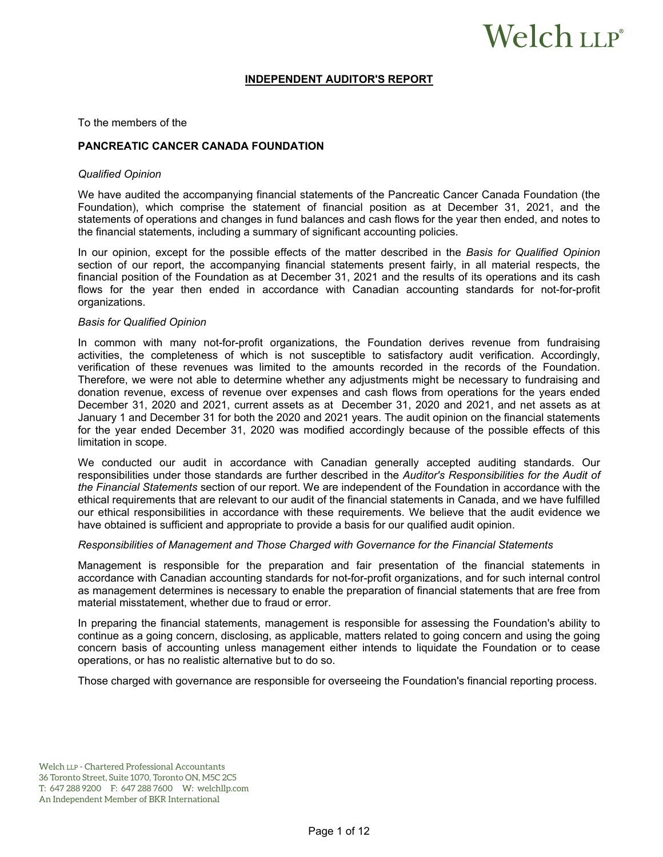# Welch LLP®

#### **INDEPENDENT AUDITOR'S REPORT**

To the members of the

#### **PANCREATIC CANCER CANADA FOUNDATION**

#### *Qualified Opinion*

We have audited the accompanying financial statements of the Pancreatic Cancer Canada Foundation (the Foundation), which comprise the statement of financial position as at December 31, 2021, and the statements of operations and changes in fund balances and cash flows for the year then ended, and notes to the financial statements, including a summary of significant accounting policies.

In our opinion, except for the possible effects of the matter described in the *Basis for Qualified Opinion* section of our report, the accompanying financial statements present fairly, in all material respects, the financial position of the Foundation as at December 31, 2021 and the results of its operations and its cash flows for the year then ended in accordance with Canadian accounting standards for not-for-profit organizations.

#### *Basis for Qualified Opinion*

In common with many not-for-profit organizations, the Foundation derives revenue from fundraising activities, the completeness of which is not susceptible to satisfactory audit verification. Accordingly, verification of these revenues was limited to the amounts recorded in the records of the Foundation. Therefore, we were not able to determine whether any adjustments might be necessary to fundraising and donation revenue, excess of revenue over expenses and cash flows from operations for the years ended December 31, 2020 and 2021, current assets as at December 31, 2020 and 2021, and net assets as at January 1 and December 31 for both the 2020 and 2021 years. The audit opinion on the financial statements for the year ended December 31, 2020 was modified accordingly because of the possible effects of this limitation in scope.

We conducted our audit in accordance with Canadian generally accepted auditing standards. Our responsibilities under those standards are further described in the *Auditor's Responsibilities for the Audit of the Financial Statements* section of our report. We are independent of the Foundation in accordance with the ethical requirements that are relevant to our audit of the financial statements in Canada, and we have fulfilled our ethical responsibilities in accordance with these requirements. We believe that the audit evidence we have obtained is sufficient and appropriate to provide a basis for our qualified audit opinion.

#### *Responsibilities of Management and Those Charged with Governance for the Financial Statements*

Management is responsible for the preparation and fair presentation of the financial statements in accordance with Canadian accounting standards for not-for-profit organizations, and for such internal control as management determines is necessary to enable the preparation of financial statements that are free from material misstatement, whether due to fraud or error.

In preparing the financial statements, management is responsible for assessing the Foundation's ability to continue as a going concern, disclosing, as applicable, matters related to going concern and using the going concern basis of accounting unless management either intends to liquidate the Foundation or to cease operations, or has no realistic alternative but to do so.

Those charged with governance are responsible for overseeing the Foundation's financial reporting process.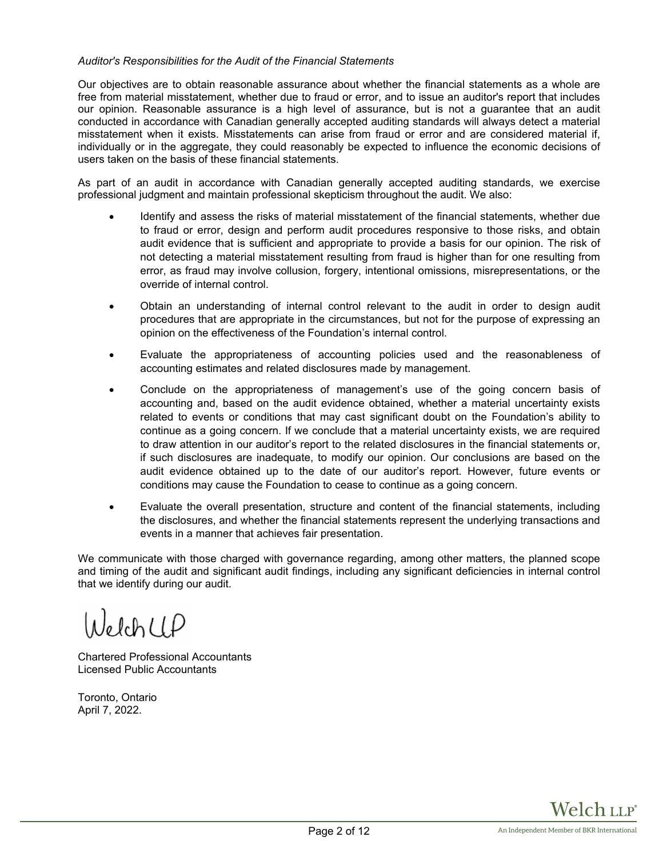#### *Auditor's Responsibilities for the Audit of the Financial Statements*

Our objectives are to obtain reasonable assurance about whether the financial statements as a whole are free from material misstatement, whether due to fraud or error, and to issue an auditor's report that includes our opinion. Reasonable assurance is a high level of assurance, but is not a guarantee that an audit conducted in accordance with Canadian generally accepted auditing standards will always detect a material misstatement when it exists. Misstatements can arise from fraud or error and are considered material if, individually or in the aggregate, they could reasonably be expected to influence the economic decisions of users taken on the basis of these financial statements.

As part of an audit in accordance with Canadian generally accepted auditing standards, we exercise professional judgment and maintain professional skepticism throughout the audit. We also:

- Identify and assess the risks of material misstatement of the financial statements, whether due to fraud or error, design and perform audit procedures responsive to those risks, and obtain audit evidence that is sufficient and appropriate to provide a basis for our opinion. The risk of not detecting a material misstatement resulting from fraud is higher than for one resulting from error, as fraud may involve collusion, forgery, intentional omissions, misrepresentations, or the override of internal control.
- Obtain an understanding of internal control relevant to the audit in order to design audit procedures that are appropriate in the circumstances, but not for the purpose of expressing an opinion on the effectiveness of the Foundation's internal control.
- Evaluate the appropriateness of accounting policies used and the reasonableness of accounting estimates and related disclosures made by management.
- Conclude on the appropriateness of management's use of the going concern basis of accounting and, based on the audit evidence obtained, whether a material uncertainty exists related to events or conditions that may cast significant doubt on the Foundation's ability to continue as a going concern. If we conclude that a material uncertainty exists, we are required to draw attention in our auditor's report to the related disclosures in the financial statements or, if such disclosures are inadequate, to modify our opinion. Our conclusions are based on the audit evidence obtained up to the date of our auditor's report. However, future events or conditions may cause the Foundation to cease to continue as a going concern.
- Evaluate the overall presentation, structure and content of the financial statements, including the disclosures, and whether the financial statements represent the underlying transactions and events in a manner that achieves fair presentation.

We communicate with those charged with governance regarding, among other matters, the planned scope and timing of the audit and significant audit findings, including any significant deficiencies in internal control that we identify during our audit.

 $edchUP$ 

Chartered Professional Accountants Licensed Public Accountants

Toronto, Ontario April 7, 2022.

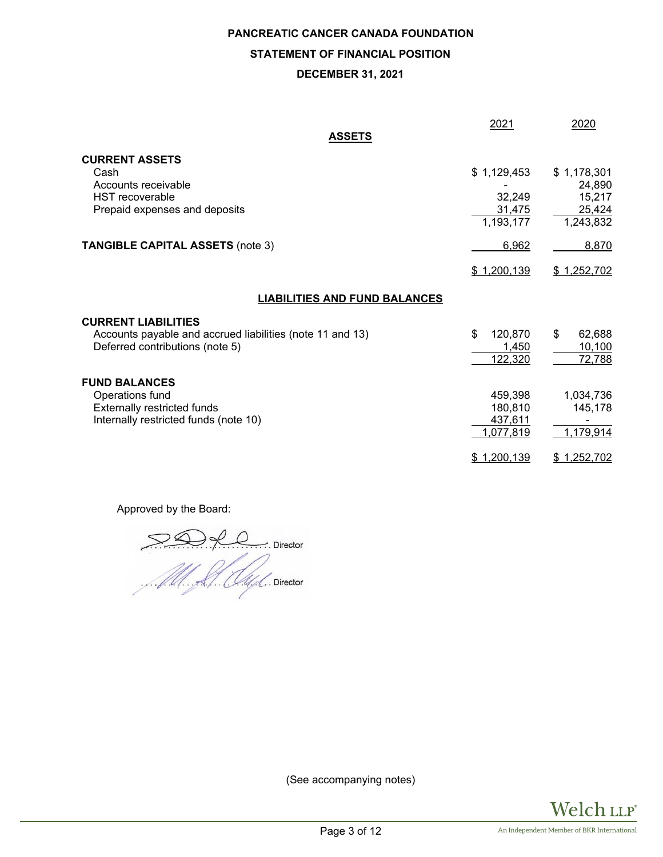# **PANCREATIC CANCER CANADA FOUNDATION STATEMENT OF FINANCIAL POSITION**

#### **DECEMBER 31, 2021**

| <b>ASSETS</b>                                                                                                              | 2021                                                      | 2020                                                   |
|----------------------------------------------------------------------------------------------------------------------------|-----------------------------------------------------------|--------------------------------------------------------|
| <b>CURRENT ASSETS</b><br>Cash<br>Accounts receivable<br><b>HST</b> recoverable<br>Prepaid expenses and deposits            | \$1,129,453<br>32,249<br>31,475<br>1,193,177              | \$1,178,301<br>24,890<br>15,217<br>25,424<br>1,243,832 |
| <b>TANGIBLE CAPITAL ASSETS (note 3)</b>                                                                                    | 6,962<br>\$1,200,139                                      | 8,870<br>\$1,252,702                                   |
| <b>LIABILITIES AND FUND BALANCES</b>                                                                                       |                                                           |                                                        |
| <b>CURRENT LIABILITIES</b><br>Accounts payable and accrued liabilities (note 11 and 13)<br>Deferred contributions (note 5) | \$<br>120,870<br>1,450<br>122,320                         | \$<br>62,688<br>10,100<br>72,788                       |
| <b>FUND BALANCES</b><br>Operations fund<br><b>Externally restricted funds</b><br>Internally restricted funds (note 10)     | 459,398<br>180,810<br>437,611<br>1,077,819<br>\$1,200,139 | 1,034,736<br>145,178<br>1,179,914<br>\$1,252,702       |

Approved by the Board:

SQLO Director

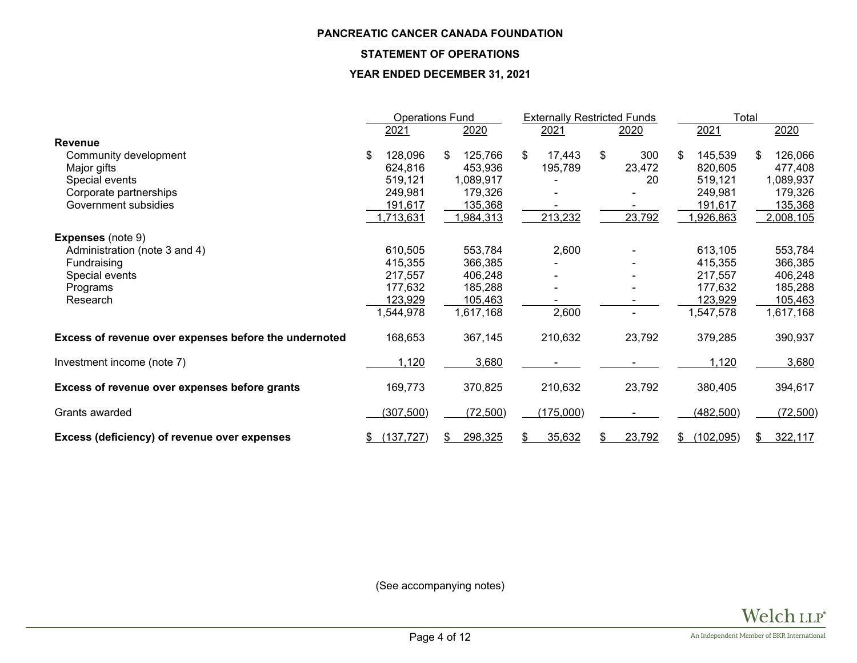#### **PANCREATIC CANCER CANADA FOUNDATION**

#### **STATEMENT OF OPERATIONS**

#### **YEAR ENDED DECEMBER 31, 2021**

|                                                       | <b>Operations Fund</b> |                | <b>Externally Restricted Funds</b> |                | Total            |                |  |
|-------------------------------------------------------|------------------------|----------------|------------------------------------|----------------|------------------|----------------|--|
|                                                       | 2021                   | 2020           | 2021                               | 2020           | 2021             | 2020           |  |
| <b>Revenue</b>                                        |                        |                |                                    |                |                  |                |  |
| Community development                                 | 128,096                | 125,766<br>\$  | \$<br>17,443                       | \$<br>300      | 145,539<br>\$    | 126,066<br>\$. |  |
| Major gifts                                           | 624,816                | 453,936        | 195,789                            | 23,472         | 820,605          | 477,408        |  |
| Special events                                        | 519,121                | 1,089,917      |                                    | 20             | 519,121          | 1,089,937      |  |
| Corporate partnerships                                | 249,981                | 179,326        |                                    |                | 249,981          | 179,326        |  |
| Government subsidies                                  | 191,617                | <u>135,368</u> |                                    |                | 191,617          | 135,368        |  |
|                                                       | 1,713,631              | 1,984,313      | 213,232                            | 23,792         | ,926,863         | 2,008,105      |  |
| <b>Expenses</b> (note 9)                              |                        |                |                                    |                |                  |                |  |
| Administration (note 3 and 4)                         | 610,505                | 553,784        | 2,600                              |                | 613,105          | 553,784        |  |
| Fundraising                                           | 415,355                | 366,385        |                                    |                | 415,355          | 366,385        |  |
| Special events                                        | 217,557                | 406,248        |                                    |                | 217,557          | 406,248        |  |
| Programs                                              | 177,632                | 185,288        |                                    |                | 177,632          | 185,288        |  |
| Research                                              | 123,929                | 105,463        |                                    |                | 123,929          | 105,463        |  |
|                                                       | 1,544,978              | 1,617,168      | 2,600                              | $\blacksquare$ | 1,547,578        | 1,617,168      |  |
| Excess of revenue over expenses before the undernoted | 168,653                | 367,145        | 210,632                            | 23,792         | 379,285          | 390,937        |  |
| Investment income (note 7)                            | 1,120                  | 3,680          |                                    |                | 1,120            | 3,680          |  |
| Excess of revenue over expenses before grants         | 169,773                | 370,825        | 210,632                            | 23,792         | 380,405          | 394,617        |  |
| Grants awarded                                        | (307, 500)             | (72, 500)      | (175,000)                          |                | (482, 500)       | (72, 500)      |  |
| Excess (deficiency) of revenue over expenses          | (137, 727)<br>\$       | 298,325<br>S.  | 35,632<br>S.                       | 23,792         | (102, 095)<br>S. | 322,117<br>\$  |  |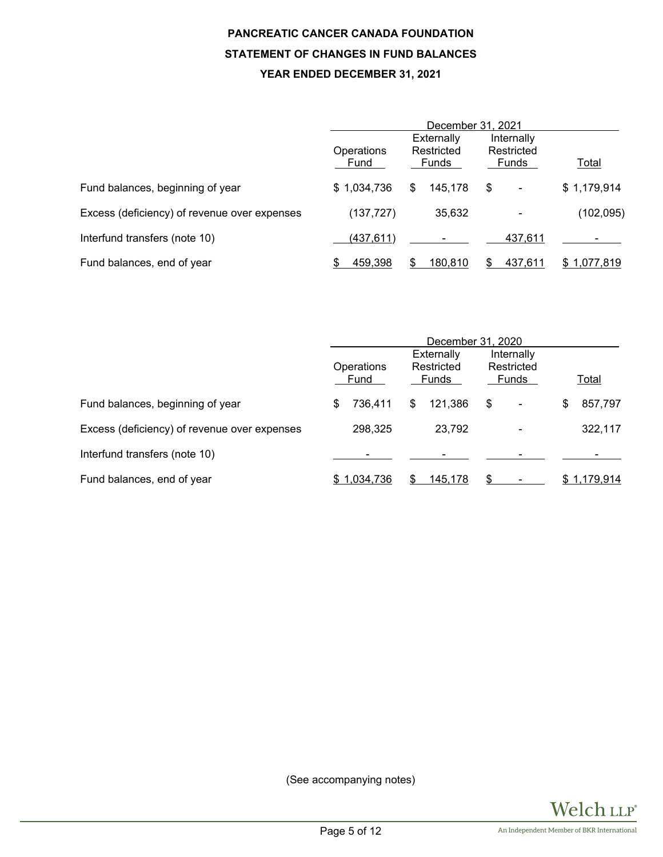# **PANCREATIC CANCER CANADA FOUNDATION STATEMENT OF CHANGES IN FUND BALANCES YEAR ENDED DECEMBER 31, 2021**

|                                              |                    | December 31, 2021                 |                                   |                 |  |  |
|----------------------------------------------|--------------------|-----------------------------------|-----------------------------------|-----------------|--|--|
|                                              | Operations<br>Fund | Externally<br>Restricted<br>Funds | Internally<br>Restricted<br>Funds | Total           |  |  |
| Fund balances, beginning of year             | \$1,034,736        | 145.178<br>S                      | \$<br>۰                           | \$1,179,914     |  |  |
| Excess (deficiency) of revenue over expenses | (137, 727)         | 35,632                            |                                   | (102, 095)      |  |  |
| Interfund transfers (note 10)                | (437, 611)         |                                   | 437,611                           |                 |  |  |
| Fund balances, end of year                   | 459,398            | 180,810                           | 437,611                           | 1,077,819<br>\$ |  |  |

|                                              | December 31, 2020 |                    |    |                                   |                                   |   |              |
|----------------------------------------------|-------------------|--------------------|----|-----------------------------------|-----------------------------------|---|--------------|
|                                              |                   | Operations<br>Fund |    | Externally<br>Restricted<br>Funds | Internally<br>Restricted<br>Funds |   | <b>Total</b> |
| Fund balances, beginning of year             | S                 | 736.411            | \$ | 121.386                           | \$<br>$\overline{a}$              | S | 857,797      |
| Excess (deficiency) of revenue over expenses |                   | 298,325            |    | 23,792                            | $\blacksquare$                    |   | 322,117      |
| Interfund transfers (note 10)                |                   |                    |    |                                   |                                   |   |              |
| Fund balances, end of year                   |                   | \$1,034,736        |    | 145,178                           | \$                                |   | \$1,179,914  |

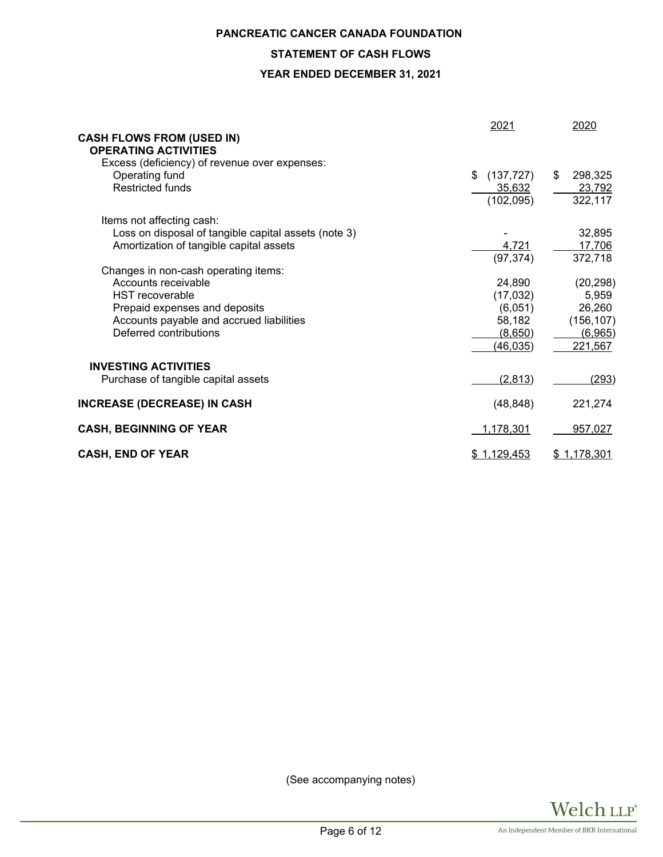#### **PANCREATIC CANCER CANADA FOUNDATION**

#### **STATEMENT OF CASH FLOWS**

#### **YEAR ENDED DECEMBER 31, 2021**

|                                                      | 2021             | 2020          |
|------------------------------------------------------|------------------|---------------|
| <b>CASH FLOWS FROM (USED IN)</b>                     |                  |               |
| <b>OPERATING ACTIVITIES</b>                          |                  |               |
| Excess (deficiency) of revenue over expenses:        |                  |               |
| Operating fund                                       | (137, 727)<br>\$ | \$<br>298,325 |
| <b>Restricted funds</b>                              | 35,632           | 23,792        |
|                                                      | (102, 095)       | 322,117       |
| Items not affecting cash:                            |                  |               |
| Loss on disposal of tangible capital assets (note 3) |                  | 32,895        |
| Amortization of tangible capital assets              | 4,721            | 17,706        |
|                                                      | (97, 374)        | 372,718       |
| Changes in non-cash operating items:                 |                  |               |
| Accounts receivable                                  | 24,890           | (20, 298)     |
| <b>HST</b> recoverable                               | (17,032)         | 5,959         |
| Prepaid expenses and deposits                        | (6,051)          | 26,260        |
| Accounts payable and accrued liabilities             | 58,182           | (156, 107)    |
| Deferred contributions                               | (8,650)          | (6,965)       |
|                                                      | (46, 035)        | 221,567       |
| <b>INVESTING ACTIVITIES</b>                          |                  |               |
| Purchase of tangible capital assets                  | (2,813)          | <u>(293)</u>  |
| <b>INCREASE (DECREASE) IN CASH</b>                   | (48, 848)        | 221,274       |
| <b>CASH, BEGINNING OF YEAR</b>                       | 1,178,301        | 957,027       |
| <b>CASH, END OF YEAR</b>                             | \$1,129,453      | \$1,178,301   |

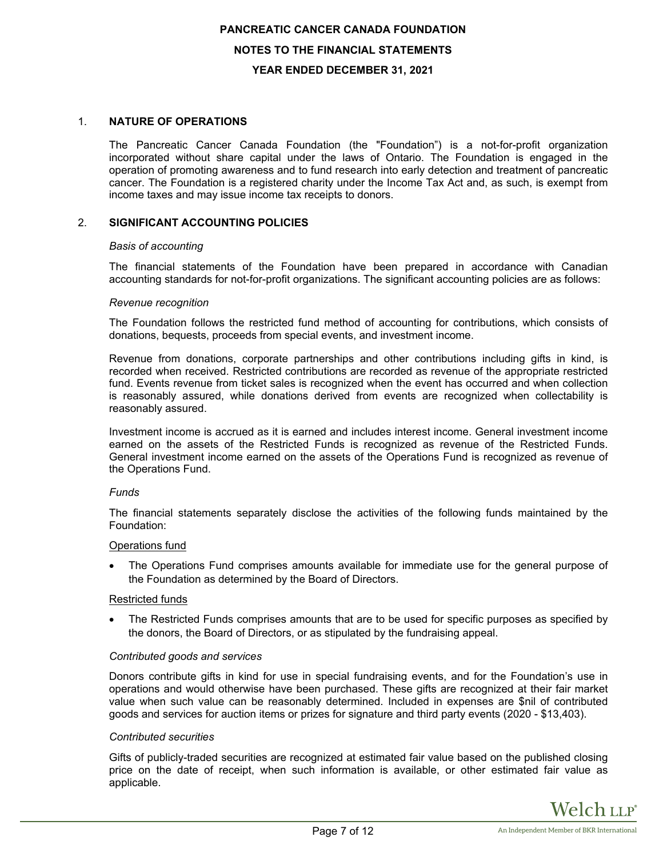#### 1. **NATURE OF OPERATIONS**

The Pancreatic Cancer Canada Foundation (the "Foundation") is a not-for-profit organization incorporated without share capital under the laws of Ontario. The Foundation is engaged in the operation of promoting awareness and to fund research into early detection and treatment of pancreatic cancer. The Foundation is a registered charity under the Income Tax Act and, as such, is exempt from income taxes and may issue income tax receipts to donors.

#### 2. **SIGNIFICANT ACCOUNTING POLICIES**

#### *Basis of accounting*

The financial statements of the Foundation have been prepared in accordance with Canadian accounting standards for not-for-profit organizations. The significant accounting policies are as follows:

#### *Revenue recognition*

The Foundation follows the restricted fund method of accounting for contributions, which consists of donations, bequests, proceeds from special events, and investment income.

Revenue from donations, corporate partnerships and other contributions including gifts in kind, is recorded when received. Restricted contributions are recorded as revenue of the appropriate restricted fund. Events revenue from ticket sales is recognized when the event has occurred and when collection is reasonably assured, while donations derived from events are recognized when collectability is reasonably assured.

Investment income is accrued as it is earned and includes interest income. General investment income earned on the assets of the Restricted Funds is recognized as revenue of the Restricted Funds. General investment income earned on the assets of the Operations Fund is recognized as revenue of the Operations Fund.

#### *Funds*

The financial statements separately disclose the activities of the following funds maintained by the Foundation:

#### Operations fund

 The Operations Fund comprises amounts available for immediate use for the general purpose of the Foundation as determined by the Board of Directors.

#### Restricted funds

 The Restricted Funds comprises amounts that are to be used for specific purposes as specified by the donors, the Board of Directors, or as stipulated by the fundraising appeal.

#### *Contributed goods and services*

Donors contribute gifts in kind for use in special fundraising events, and for the Foundation's use in operations and would otherwise have been purchased. These gifts are recognized at their fair market value when such value can be reasonably determined. Included in expenses are \$nil of contributed goods and services for auction items or prizes for signature and third party events (2020 - \$13,403).

#### *Contributed securities*

Gifts of publicly-traded securities are recognized at estimated fair value based on the published closing price on the date of receipt, when such information is available, or other estimated fair value as applicable.

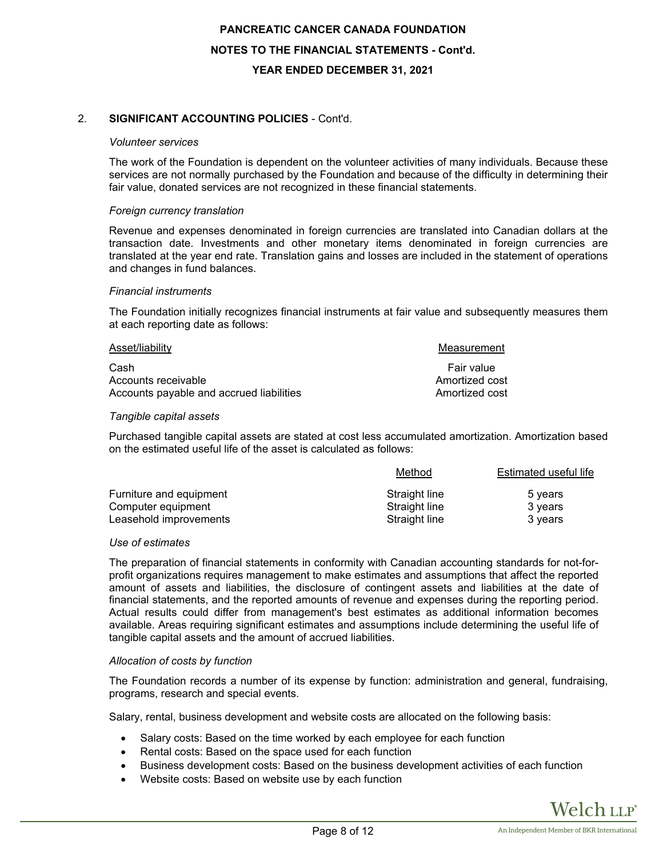#### 2. **SIGNIFICANT ACCOUNTING POLICIES** - Cont'd.

#### *Volunteer services*

The work of the Foundation is dependent on the volunteer activities of many individuals. Because these services are not normally purchased by the Foundation and because of the difficulty in determining their fair value, donated services are not recognized in these financial statements.

#### *Foreign currency translation*

Revenue and expenses denominated in foreign currencies are translated into Canadian dollars at the transaction date. Investments and other monetary items denominated in foreign currencies are translated at the year end rate. Translation gains and losses are included in the statement of operations and changes in fund balances.

#### *Financial instruments*

The Foundation initially recognizes financial instruments at fair value and subsequently measures them at each reporting date as follows:

| Asset/liability                          | Measurement    |
|------------------------------------------|----------------|
| Cash                                     | Fair value     |
| Accounts receivable                      | Amortized cost |
| Accounts payable and accrued liabilities | Amortized cost |

#### *Tangible capital assets*

Purchased tangible capital assets are stated at cost less accumulated amortization. Amortization based on the estimated useful life of the asset is calculated as follows:

|                         | Method        | Estimated useful life |  |  |
|-------------------------|---------------|-----------------------|--|--|
| Furniture and equipment | Straight line | 5 years               |  |  |
| Computer equipment      | Straight line | 3 vears               |  |  |
| Leasehold improvements  | Straight line | 3 years               |  |  |

#### *Use of estimates*

The preparation of financial statements in conformity with Canadian accounting standards for not-forprofit organizations requires management to make estimates and assumptions that affect the reported amount of assets and liabilities, the disclosure of contingent assets and liabilities at the date of financial statements, and the reported amounts of revenue and expenses during the reporting period. Actual results could differ from management's best estimates as additional information becomes available. Areas requiring significant estimates and assumptions include determining the useful life of tangible capital assets and the amount of accrued liabilities.

#### *Allocation of costs by function*

The Foundation records a number of its expense by function: administration and general, fundraising, programs, research and special events.

Salary, rental, business development and website costs are allocated on the following basis:

- Salary costs: Based on the time worked by each employee for each function
- Rental costs: Based on the space used for each function
- Business development costs: Based on the business development activities of each function
- Website costs: Based on website use by each function

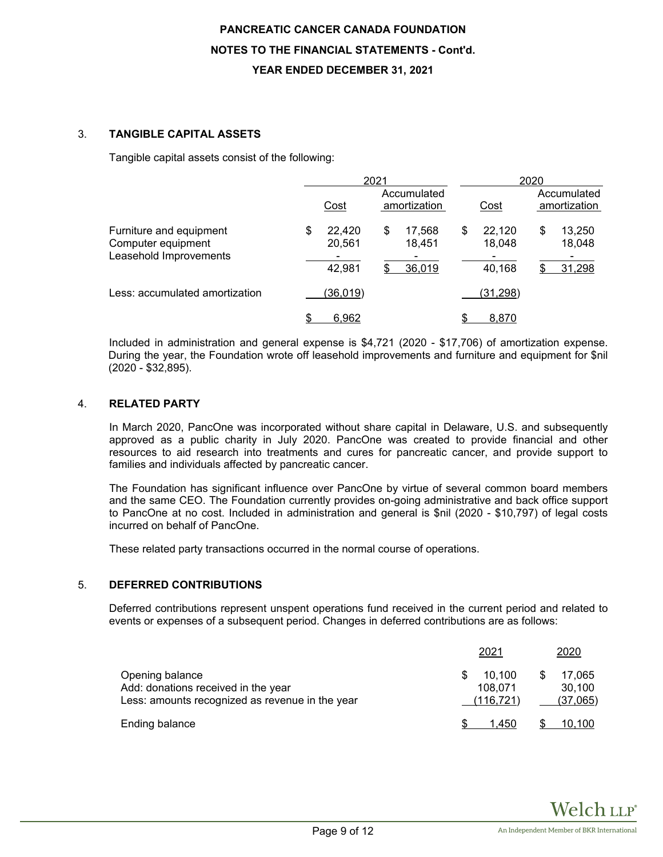#### 3. **TANGIBLE CAPITAL ASSETS**

Tangible capital assets consist of the following:

|                                                                         |     |                            | 2021 |                             |                                  | 2020 |                             |  |
|-------------------------------------------------------------------------|-----|----------------------------|------|-----------------------------|----------------------------------|------|-----------------------------|--|
|                                                                         |     | Cost                       |      | Accumulated<br>amortization | Cost                             |      | Accumulated<br>amortization |  |
| Furniture and equipment<br>Computer equipment<br>Leasehold Improvements | \$  | 22.420<br>20.561<br>42,981 | \$   | 17,568<br>18.451<br>36,019  | \$<br>22.120<br>18.048<br>40,168 | \$   | 13,250<br>18,048<br>31,298  |  |
| Less: accumulated amortization                                          |     | <u>(36,019)</u>            |      |                             | (31, 298)                        |      |                             |  |
|                                                                         | \$. | 6,962                      |      |                             | 8,870                            |      |                             |  |

Included in administration and general expense is \$4,721 (2020 - \$17,706) of amortization expense. During the year, the Foundation wrote off leasehold improvements and furniture and equipment for \$nil (2020 - \$32,895).

#### 4. **RELATED PARTY**

In March 2020, PancOne was incorporated without share capital in Delaware, U.S. and subsequently approved as a public charity in July 2020. PancOne was created to provide financial and other resources to aid research into treatments and cures for pancreatic cancer, and provide support to families and individuals affected by pancreatic cancer.

The Foundation has significant influence over PancOne by virtue of several common board members and the same CEO. The Foundation currently provides on-going administrative and back office support to PancOne at no cost. Included in administration and general is \$nil (2020 - \$10,797) of legal costs incurred on behalf of PancOne.

These related party transactions occurred in the normal course of operations.

#### 5. **DEFERRED CONTRIBUTIONS**

Deferred contributions represent unspent operations fund received in the current period and related to events or expenses of a subsequent period. Changes in deferred contributions are as follows:

|                                                                                                           | 2021                            | 2020                         |
|-----------------------------------------------------------------------------------------------------------|---------------------------------|------------------------------|
| Opening balance<br>Add: donations received in the year<br>Less: amounts recognized as revenue in the year | 10.100<br>108.071<br>(116, 721) | 17.065<br>30.100<br>(37,065) |
| Ending balance                                                                                            | 1.450                           | 10,100                       |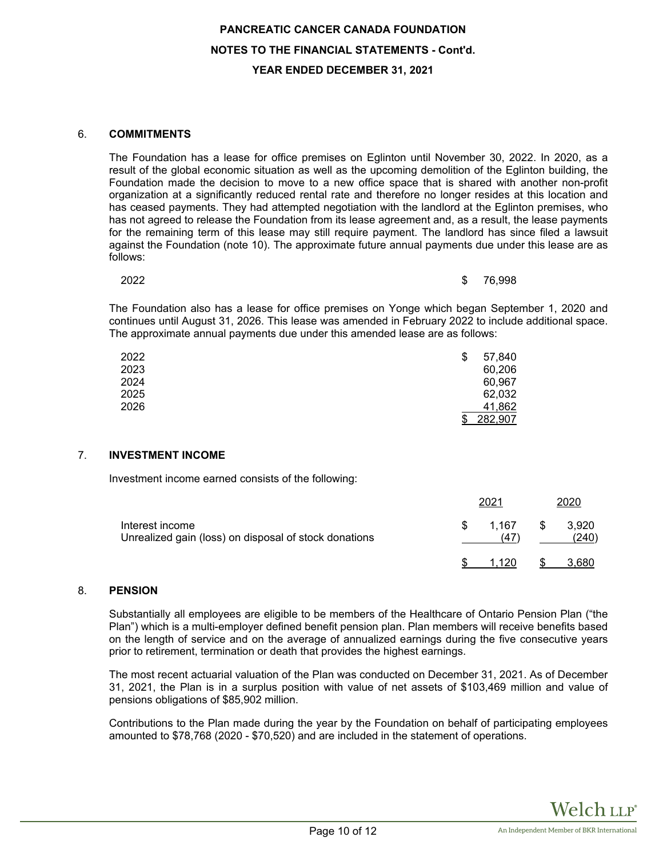#### 6. **COMMITMENTS**

The Foundation has a lease for office premises on Eglinton until November 30, 2022. In 2020, as a result of the global economic situation as well as the upcoming demolition of the Eglinton building, the Foundation made the decision to move to a new office space that is shared with another non-profit organization at a significantly reduced rental rate and therefore no longer resides at this location and has ceased payments. They had attempted negotiation with the landlord at the Eglinton premises, who has not agreed to release the Foundation from its lease agreement and, as a result, the lease payments for the remaining term of this lease may still require payment. The landlord has since filed a lawsuit against the Foundation (note 10). The approximate future annual payments due under this lease are as follows:

| 2022 |  | \$76,998 |
|------|--|----------|
|------|--|----------|

The Foundation also has a lease for office premises on Yonge which began September 1, 2020 and continues until August 31, 2026. This lease was amended in February 2022 to include additional space. The approximate annual payments due under this amended lease are as follows:

| 2022 | 57,840<br>\$  |
|------|---------------|
| 2023 | 60,206        |
| 2024 | 60,967        |
| 2025 | 62,032        |
| 2026 | 41,862        |
|      | 282,907<br>\$ |

#### 7. **INVESTMENT INCOME**

Investment income earned consists of the following:

|                                                                          | 2021 |              | 2020         |                |
|--------------------------------------------------------------------------|------|--------------|--------------|----------------|
| Interest income<br>Unrealized gain (loss) on disposal of stock donations | SS.  | 1.167<br>(47 | $\mathbb{S}$ | 3.920<br>(240) |
|                                                                          |      |              |              | 3.680          |

#### 8. **PENSION**

Substantially all employees are eligible to be members of the Healthcare of Ontario Pension Plan ("the Plan") which is a multi-employer defined benefit pension plan. Plan members will receive benefits based on the length of service and on the average of annualized earnings during the five consecutive years prior to retirement, termination or death that provides the highest earnings.

The most recent actuarial valuation of the Plan was conducted on December 31, 2021. As of December 31, 2021, the Plan is in a surplus position with value of net assets of \$103,469 million and value of pensions obligations of \$85,902 million.

Contributions to the Plan made during the year by the Foundation on behalf of participating employees amounted to \$78,768 (2020 - \$70,520) and are included in the statement of operations.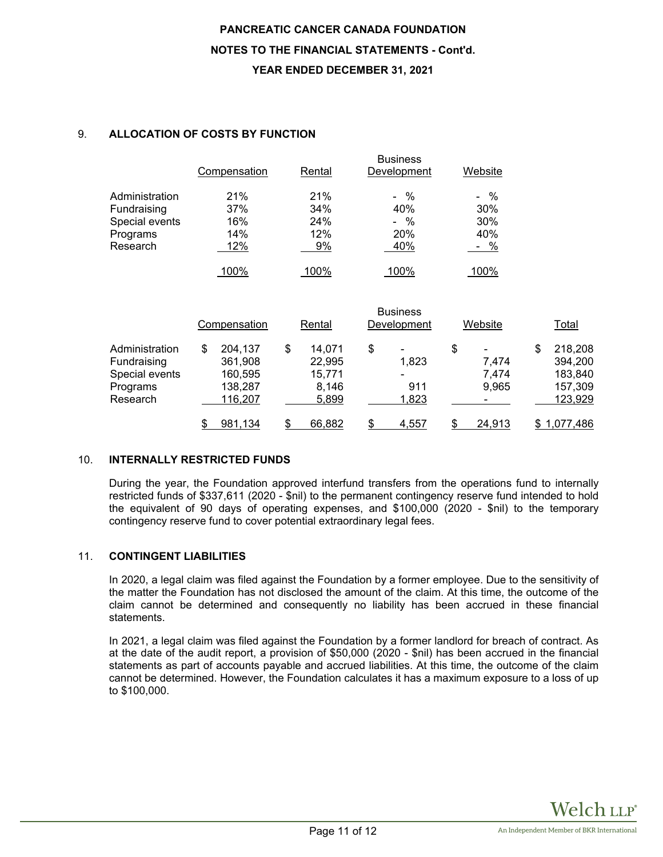#### 9. **ALLOCATION OF COSTS BY FUNCTION**

|                                                                         | Compensation |                                                     |        | Rental                                       | <b>Business</b><br>Development |                                 | Website |                                           |    |                                                     |  |
|-------------------------------------------------------------------------|--------------|-----------------------------------------------------|--------|----------------------------------------------|--------------------------------|---------------------------------|---------|-------------------------------------------|----|-----------------------------------------------------|--|
| Administration<br>Fundraising<br>Special events<br>Programs<br>Research |              | 21%<br>37%<br>16%<br>14%<br>12%                     |        | 21%<br>34%<br>24%<br>12%<br>9%               |                                | - %<br>40%<br>- %<br>20%<br>40% |         | $-$ %<br>30%<br>30%<br>40%<br>%<br>$\sim$ |    |                                                     |  |
|                                                                         | 100%         |                                                     |        | 100%                                         |                                | 100%                            |         | 100%                                      |    |                                                     |  |
|                                                                         | Compensation |                                                     | Rental |                                              | <b>Business</b><br>Development |                                 | Website |                                           |    | Total                                               |  |
| Administration<br>Fundraising<br>Special events<br>Programs<br>Research | \$           | 204,137<br>361,908<br>160,595<br>138,287<br>116,207 | \$     | 14,071<br>22,995<br>15,771<br>8,146<br>5,899 | \$                             | 1,823<br>911<br>1,823           | \$      | 7,474<br>7,474<br>9,965                   | \$ | 218,208<br>394,200<br>183,840<br>157,309<br>123,929 |  |
|                                                                         | \$           | 981,134                                             | \$     | 66,882                                       | \$                             | 4,557                           | \$      | 24,913                                    | S. | 1,077,486                                           |  |

#### 10. **INTERNALLY RESTRICTED FUNDS**

During the year, the Foundation approved interfund transfers from the operations fund to internally restricted funds of \$337,611 (2020 - \$nil) to the permanent contingency reserve fund intended to hold the equivalent of 90 days of operating expenses, and \$100,000 (2020 - \$nil) to the temporary contingency reserve fund to cover potential extraordinary legal fees.

#### 11. **CONTINGENT LIABILITIES**

In 2020, a legal claim was filed against the Foundation by a former employee. Due to the sensitivity of the matter the Foundation has not disclosed the amount of the claim. At this time, the outcome of the claim cannot be determined and consequently no liability has been accrued in these financial statements.

In 2021, a legal claim was filed against the Foundation by a former landlord for breach of contract. As at the date of the audit report, a provision of \$50,000 (2020 - \$nil) has been accrued in the financial statements as part of accounts payable and accrued liabilities. At this time, the outcome of the claim cannot be determined. However, the Foundation calculates it has a maximum exposure to a loss of up to \$100,000.